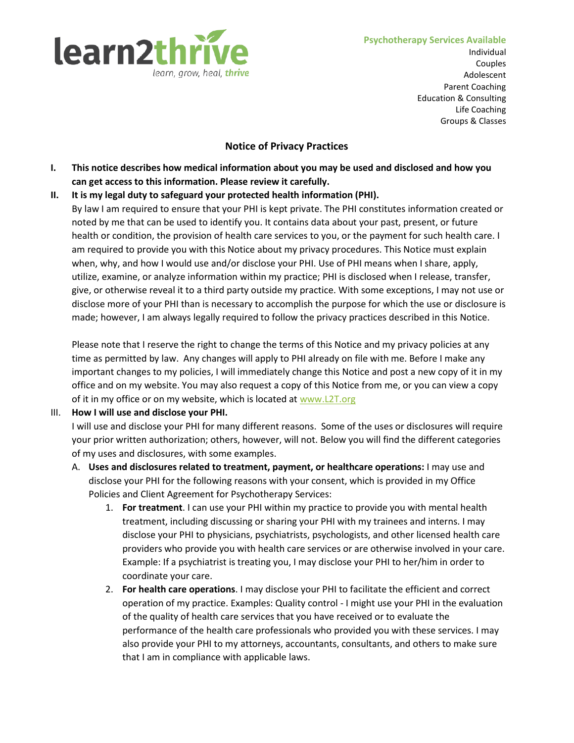

Individual Couples Adolescent Parent Coaching Education & Consulting Life Coaching Groups & Classes

## **Notice of Privacy Practices**

- **I. This notice describes how medical information about you may be used and disclosed and how you can get access to this information. Please review it carefully.**
- **II. It is my legal duty to safeguard your protected health information (PHI).** 
	- By law I am required to ensure that your PHI is kept private. The PHI constitutes information created or noted by me that can be used to identify you. It contains data about your past, present, or future health or condition, the provision of health care services to you, or the payment for such health care. I am required to provide you with this Notice about my privacy procedures. This Notice must explain when, why, and how I would use and/or disclose your PHI. Use of PHI means when I share, apply, utilize, examine, or analyze information within my practice; PHI is disclosed when I release, transfer, give, or otherwise reveal it to a third party outside my practice. With some exceptions, I may not use or disclose more of your PHI than is necessary to accomplish the purpose for which the use or disclosure is made; however, I am always legally required to follow the privacy practices described in this Notice.

Please note that I reserve the right to change the terms of this Notice and my privacy policies at any time as permitted by law. Any changes will apply to PHI already on file with me. Before I make any important changes to my policies, I will immediately change this Notice and post a new copy of it in my office and on my website. You may also request a copy of this Notice from me, or you can view a copy of it in my office or on my website, which is located at [www.L2T.org](http://www.l2t.org/)

## III. **How I will use and disclose your PHI.**

I will use and disclose your PHI for many different reasons. Some of the uses or disclosures will require your prior written authorization; others, however, will not. Below you will find the different categories of my uses and disclosures, with some examples.

- A. **Uses and disclosures related to treatment, payment, or healthcare operations:** I may use and disclose your PHI for the following reasons with your consent, which is provided in my Office Policies and Client Agreement for Psychotherapy Services:
	- 1. **For treatment**. I can use your PHI within my practice to provide you with mental health treatment, including discussing or sharing your PHI with my trainees and interns. I may disclose your PHI to physicians, psychiatrists, psychologists, and other licensed health care providers who provide you with health care services or are otherwise involved in your care. Example: If a psychiatrist is treating you, I may disclose your PHI to her/him in order to coordinate your care.
	- 2. **For health care operations**. I may disclose your PHI to facilitate the efficient and correct operation of my practice. Examples: Quality control - I might use your PHI in the evaluation of the quality of health care services that you have received or to evaluate the performance of the health care professionals who provided you with these services. I may also provide your PHI to my attorneys, accountants, consultants, and others to make sure that I am in compliance with applicable laws.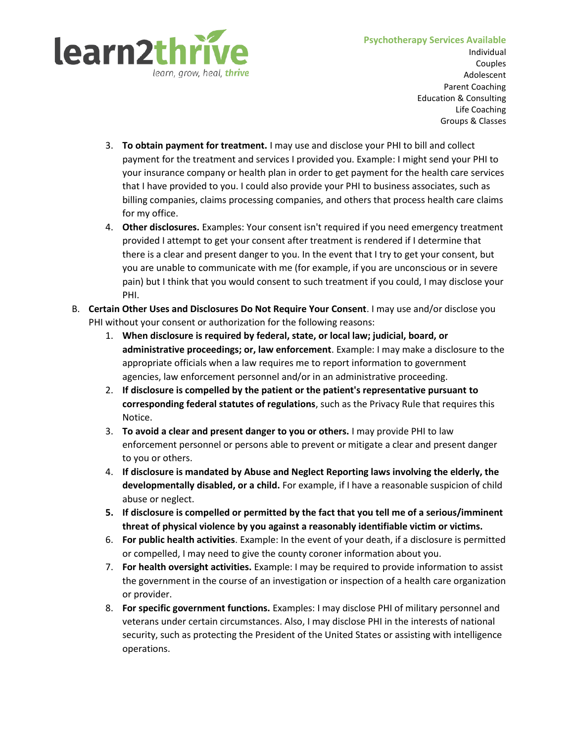# learn2thri learn, grow, heal, **thrive**

#### **Psychotherapy Services Available**

Individual Couples Adolescent Parent Coaching Education & Consulting Life Coaching Groups & Classes

- 3. **To obtain payment for treatment.** I may use and disclose your PHI to bill and collect payment for the treatment and services I provided you. Example: I might send your PHI to your insurance company or health plan in order to get payment for the health care services that I have provided to you. I could also provide your PHI to business associates, such as billing companies, claims processing companies, and others that process health care claims for my office.
- 4. **Other disclosures.** Examples: Your consent isn't required if you need emergency treatment provided I attempt to get your consent after treatment is rendered if I determine that there is a clear and present danger to you. In the event that I try to get your consent, but you are unable to communicate with me (for example, if you are unconscious or in severe pain) but I think that you would consent to such treatment if you could, I may disclose your PHI.
- B. **Certain Other Uses and Disclosures Do Not Require Your Consent**. I may use and/or disclose you PHI without your consent or authorization for the following reasons:
	- 1. **When disclosure is required by federal, state, or local law; judicial, board, or administrative proceedings; or, law enforcement**. Example: I may make a disclosure to the appropriate officials when a law requires me to report information to government agencies, law enforcement personnel and/or in an administrative proceeding.
	- 2. **If disclosure is compelled by the patient or the patient's representative pursuant to corresponding federal statutes of regulations**, such as the Privacy Rule that requires this Notice.
	- 3. **To avoid a clear and present danger to you or others.** I may provide PHI to law enforcement personnel or persons able to prevent or mitigate a clear and present danger to you or others.
	- 4. **If disclosure is mandated by Abuse and Neglect Reporting laws involving the elderly, the developmentally disabled, or a child.** For example, if I have a reasonable suspicion of child abuse or neglect.
	- **5. If disclosure is compelled or permitted by the fact that you tell me of a serious/imminent threat of physical violence by you against a reasonably identifiable victim or victims.**
	- 6. **For public health activities**. Example: In the event of your death, if a disclosure is permitted or compelled, I may need to give the county coroner information about you.
	- 7. **For health oversight activities.** Example: I may be required to provide information to assist the government in the course of an investigation or inspection of a health care organization or provider.
	- 8. **For specific government functions.** Examples: I may disclose PHI of military personnel and veterans under certain circumstances. Also, I may disclose PHI in the interests of national security, such as protecting the President of the United States or assisting with intelligence operations.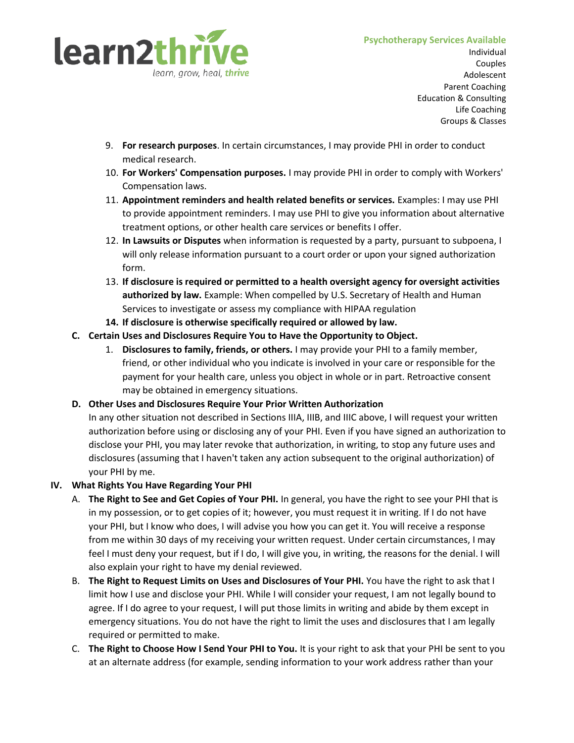

Individual Couples Adolescent Parent Coaching Education & Consulting Life Coaching Groups & Classes

- 9. **For research purposes**. In certain circumstances, I may provide PHI in order to conduct medical research.
- 10. **For Workers' Compensation purposes.** I may provide PHI in order to comply with Workers' Compensation laws.
- 11. **Appointment reminders and health related benefits or services.** Examples: I may use PHI to provide appointment reminders. I may use PHI to give you information about alternative treatment options, or other health care services or benefits I offer.
- 12. **In Lawsuits or Disputes** when information is requested by a party, pursuant to subpoena, I will only release information pursuant to a court order or upon your signed authorization form.
- 13. **If disclosure is required or permitted to a health oversight agency for oversight activities authorized by law.** Example: When compelled by U.S. Secretary of Health and Human Services to investigate or assess my compliance with HIPAA regulation
- **14. If disclosure is otherwise specifically required or allowed by law.**
- **C. Certain Uses and Disclosures Require You to Have the Opportunity to Object.**
	- 1. **Disclosures to family, friends, or others.** I may provide your PHI to a family member, friend, or other individual who you indicate is involved in your care or responsible for the payment for your health care, unless you object in whole or in part. Retroactive consent may be obtained in emergency situations.

# **D. Other Uses and Disclosures Require Your Prior Written Authorization**

In any other situation not described in Sections IIIA, IIIB, and IIIC above, I will request your written authorization before using or disclosing any of your PHI. Even if you have signed an authorization to disclose your PHI, you may later revoke that authorization, in writing, to stop any future uses and disclosures (assuming that I haven't taken any action subsequent to the original authorization) of your PHI by me.

## **IV. What Rights You Have Regarding Your PHI**

- A. **The Right to See and Get Copies of Your PHI.** In general, you have the right to see your PHI that is in my possession, or to get copies of it; however, you must request it in writing. If I do not have your PHI, but I know who does, I will advise you how you can get it. You will receive a response from me within 30 days of my receiving your written request. Under certain circumstances, I may feel I must deny your request, but if I do, I will give you, in writing, the reasons for the denial. I will also explain your right to have my denial reviewed.
- B. **The Right to Request Limits on Uses and Disclosures of Your PHI.** You have the right to ask that I limit how I use and disclose your PHI. While I will consider your request, I am not legally bound to agree. If I do agree to your request, I will put those limits in writing and abide by them except in emergency situations. You do not have the right to limit the uses and disclosures that I am legally required or permitted to make.
- C. **The Right to Choose How I Send Your PHI to You.** It is your right to ask that your PHI be sent to you at an alternate address (for example, sending information to your work address rather than your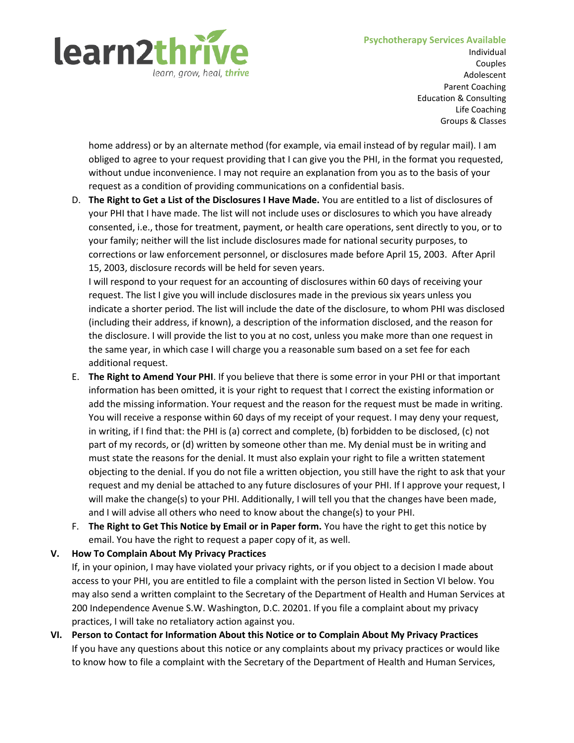#### **Psychotherapy Services Available**



Individual Couples Adolescent Parent Coaching Education & Consulting Life Coaching Groups & Classes

home address) or by an alternate method (for example, via email instead of by regular mail). I am obliged to agree to your request providing that I can give you the PHI, in the format you requested, without undue inconvenience. I may not require an explanation from you as to the basis of your request as a condition of providing communications on a confidential basis.

D. **The Right to Get a List of the Disclosures I Have Made.** You are entitled to a list of disclosures of your PHI that I have made. The list will not include uses or disclosures to which you have already consented, i.e., those for treatment, payment, or health care operations, sent directly to you, or to your family; neither will the list include disclosures made for national security purposes, to corrections or law enforcement personnel, or disclosures made before April 15, 2003. After April 15, 2003, disclosure records will be held for seven years.

I will respond to your request for an accounting of disclosures within 60 days of receiving your request. The list I give you will include disclosures made in the previous six years unless you indicate a shorter period. The list will include the date of the disclosure, to whom PHI was disclosed (including their address, if known), a description of the information disclosed, and the reason for the disclosure. I will provide the list to you at no cost, unless you make more than one request in the same year, in which case I will charge you a reasonable sum based on a set fee for each additional request.

- E. **The Right to Amend Your PHI**. If you believe that there is some error in your PHI or that important information has been omitted, it is your right to request that I correct the existing information or add the missing information. Your request and the reason for the request must be made in writing. You will receive a response within 60 days of my receipt of your request. I may deny your request, in writing, if I find that: the PHI is (a) correct and complete, (b) forbidden to be disclosed, (c) not part of my records, or (d) written by someone other than me. My denial must be in writing and must state the reasons for the denial. It must also explain your right to file a written statement objecting to the denial. If you do not file a written objection, you still have the right to ask that your request and my denial be attached to any future disclosures of your PHI. If I approve your request, I will make the change(s) to your PHI. Additionally, I will tell you that the changes have been made, and I will advise all others who need to know about the change(s) to your PHI.
- F. **The Right to Get This Notice by Email or in Paper form.** You have the right to get this notice by email. You have the right to request a paper copy of it, as well.

# **V. How To Complain About My Privacy Practices**

If, in your opinion, I may have violated your privacy rights, or if you object to a decision I made about access to your PHI, you are entitled to file a complaint with the person listed in Section VI below. You may also send a written complaint to the Secretary of the Department of Health and Human Services at 200 Independence Avenue S.W. Washington, D.C. 20201. If you file a complaint about my privacy practices, I will take no retaliatory action against you.

**VI. Person to Contact for Information About this Notice or to Complain About My Privacy Practices** If you have any questions about this notice or any complaints about my privacy practices or would like to know how to file a complaint with the Secretary of the Department of Health and Human Services,